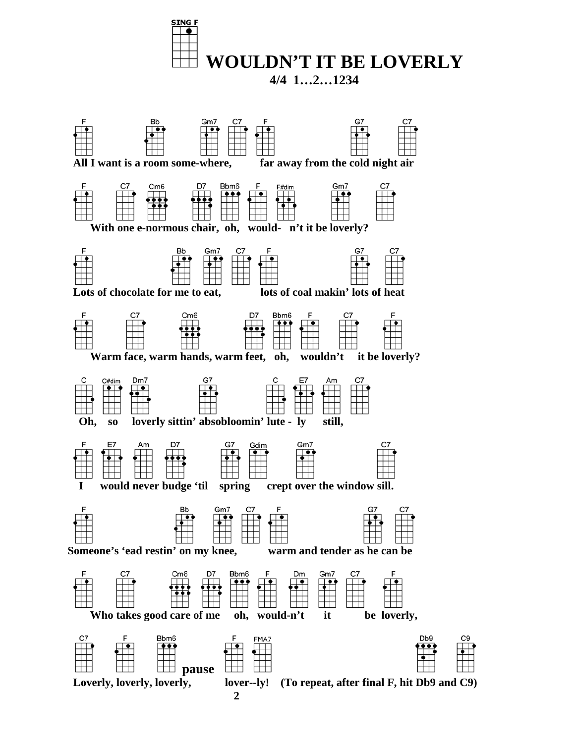

**4/4 1…2…1234**